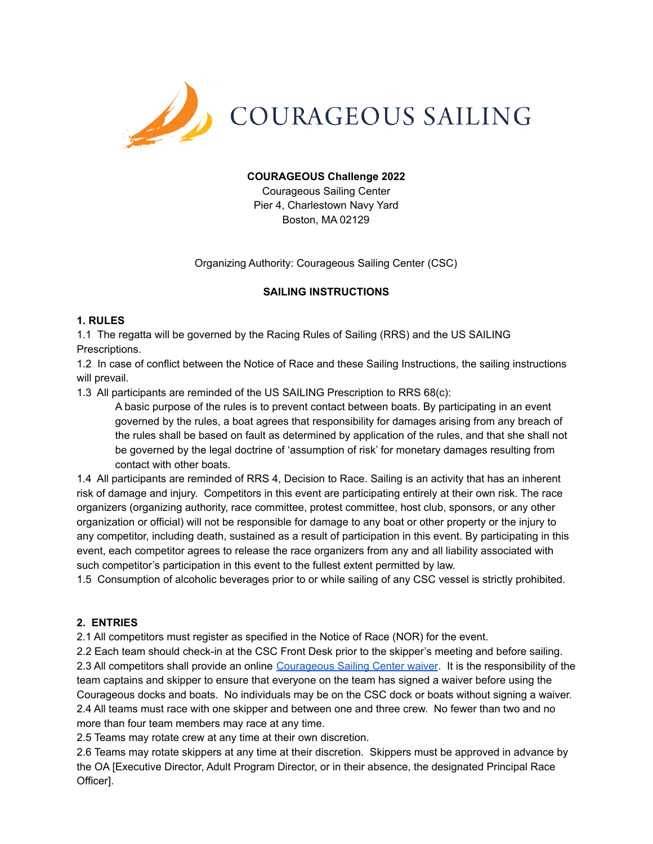

## **COURAGEOUS Challenge 2022**

Courageous Sailing Center Pier 4, Charlestown Navy Yard Boston, MA 02129

Organizing Authority: Courageous Sailing Center (CSC)

## **SAILING INSTRUCTIONS**

## **1. RULES**

1.1 The regatta will be governed by the Racing Rules of Sailing (RRS) and the US SAILING Prescriptions.

1.2 In case of conflict between the Notice of Race and these Sailing Instructions, the sailing instructions will prevail.

1.3 All participants are reminded of the US SAILING Prescription to RRS 68(c):

A basic purpose of the rules is to prevent contact between boats. By participating in an event governed by the rules, a boat agrees that responsibility for damages arising from any breach of the rules shall be based on fault as determined by application of the rules, and that she shall not be governed by the legal doctrine of 'assumption of risk' for monetary damages resulting from contact with other boats.

1.4 All participants are reminded of RRS 4, Decision to Race. Sailing is an activity that has an inherent risk of damage and injury. Competitors in this event are participating entirely at their own risk. The race organizers (organizing authority, race committee, protest committee, host club, sponsors, or any other organization or official) will not be responsible for damage to any boat or other property or the injury to any competitor, including death, sustained as a result of participation in this event. By participating in this event, each competitor agrees to release the race organizers from any and all liability associated with such competitor's participation in this event to the fullest extent permitted by law.

1.5 Consumption of alcoholic beverages prior to or while sailing of any CSC vessel is strictly prohibited.

## **2. ENTRIES**

2.1 All competitors must register as specified in the Notice of Race (NOR) for the event.

2.2 Each team should check-in at the CSC Front Desk prior to the skipper's meeting and before sailing. 2.3 All competitors shall provide an online [Courageous](https://courageoussailing.force.com/csguest/s/courageous-sailing-waiver) Sailing Center waiver. It is the responsibility of the team captains and skipper to ensure that everyone on the team has signed a waiver before using the Courageous docks and boats. No individuals may be on the CSC dock or boats without signing a waiver. 2.4 All teams must race with one skipper and between one and three crew. No fewer than two and no more than four team members may race at any time.

2.5 Teams may rotate crew at any time at their own discretion.

2.6 Teams may rotate skippers at any time at their discretion. Skippers must be approved in advance by the OA [Executive Director, Adult Program Director, or in their absence, the designated Principal Race Officer].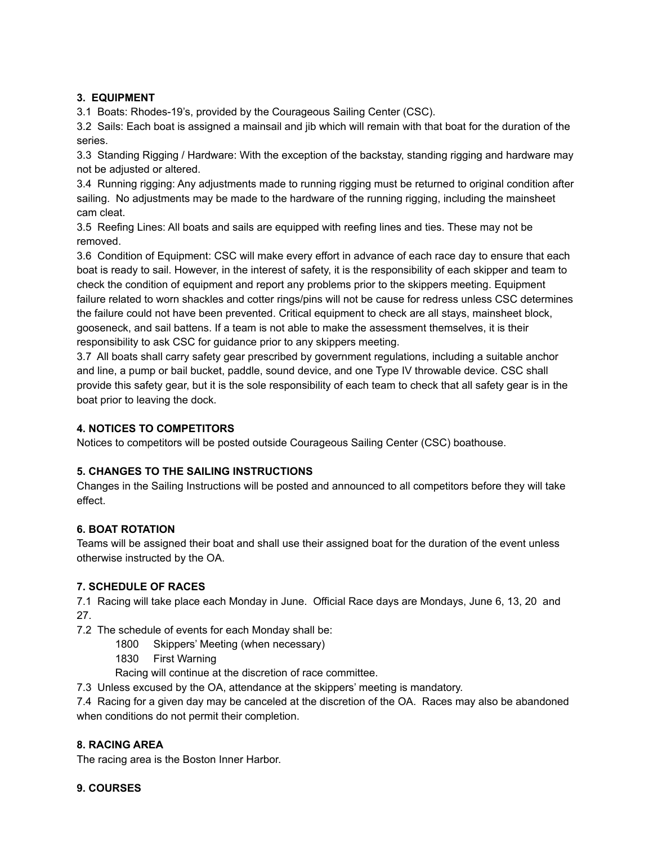## **3. EQUIPMENT**

3.1 Boats: Rhodes-19's, provided by the Courageous Sailing Center (CSC).

3.2 Sails: Each boat is assigned a mainsail and jib which will remain with that boat for the duration of the series.

3.3 Standing Rigging / Hardware: With the exception of the backstay, standing rigging and hardware may not be adjusted or altered.

3.4 Running rigging: Any adjustments made to running rigging must be returned to original condition after sailing. No adjustments may be made to the hardware of the running rigging, including the mainsheet cam cleat.

3.5 Reefing Lines: All boats and sails are equipped with reefing lines and ties. These may not be removed.

3.6 Condition of Equipment: CSC will make every effort in advance of each race day to ensure that each boat is ready to sail. However, in the interest of safety, it is the responsibility of each skipper and team to check the condition of equipment and report any problems prior to the skippers meeting. Equipment failure related to worn shackles and cotter rings/pins will not be cause for redress unless CSC determines the failure could not have been prevented. Critical equipment to check are all stays, mainsheet block, gooseneck, and sail battens. If a team is not able to make the assessment themselves, it is their responsibility to ask CSC for guidance prior to any skippers meeting.

3.7 All boats shall carry safety gear prescribed by government regulations, including a suitable anchor and line, a pump or bail bucket, paddle, sound device, and one Type IV throwable device. CSC shall provide this safety gear, but it is the sole responsibility of each team to check that all safety gear is in the boat prior to leaving the dock.

## **4. NOTICES TO COMPETITORS**

Notices to competitors will be posted outside Courageous Sailing Center (CSC) boathouse.

# **5. CHANGES TO THE SAILING INSTRUCTIONS**

Changes in the Sailing Instructions will be posted and announced to all competitors before they will take effect.

## **6. BOAT ROTATION**

Teams will be assigned their boat and shall use their assigned boat for the duration of the event unless otherwise instructed by the OA.

## **7. SCHEDULE OF RACES**

7.1 Racing will take place each Monday in June. Official Race days are Mondays, June 6, 13, 20 and 27.

7.2 The schedule of events for each Monday shall be:

- 1800 Skippers' Meeting (when necessary)
- 1830 First Warning

Racing will continue at the discretion of race committee.

7.3 Unless excused by the OA, attendance at the skippers' meeting is mandatory.

7.4 Racing for a given day may be canceled at the discretion of the OA. Races may also be abandoned when conditions do not permit their completion.

## **8. RACING AREA**

The racing area is the Boston Inner Harbor.

**9. COURSES**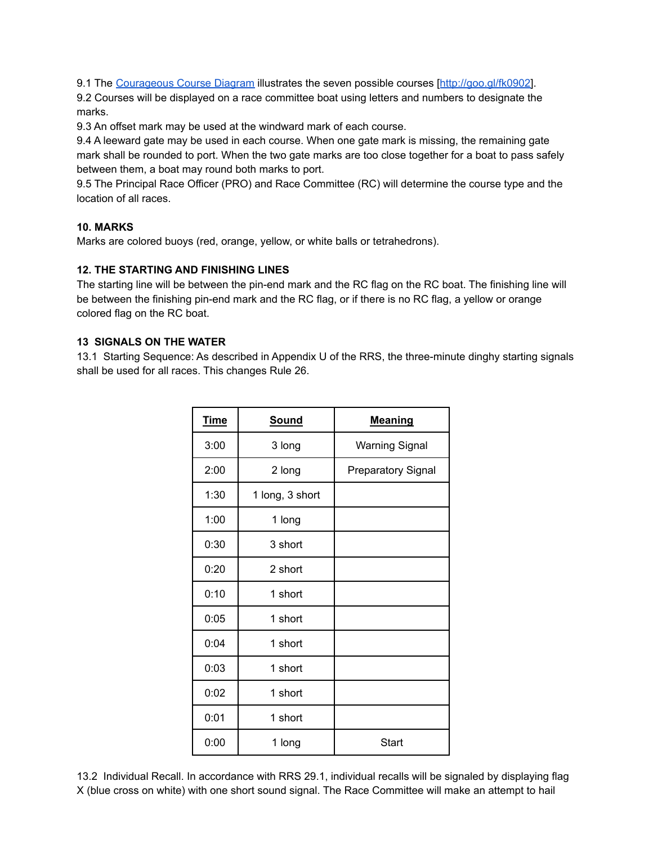9.1 The [Courageous](http://goo.gl/fk0902) Course Diagram illustrates the seven possible courses [[http://goo.gl/fk0902\]](http://goo.gl/fk0902).

9.2 Courses will be displayed on a race committee boat using letters and numbers to designate the marks.

9.3 An offset mark may be used at the windward mark of each course.

9.4 A leeward gate may be used in each course. When one gate mark is missing, the remaining gate mark shall be rounded to port. When the two gate marks are too close together for a boat to pass safely between them, a boat may round both marks to port.

9.5 The Principal Race Officer (PRO) and Race Committee (RC) will determine the course type and the location of all races.

## **10. MARKS**

Marks are colored buoys (red, orange, yellow, or white balls or tetrahedrons).

## **12. THE STARTING AND FINISHING LINES**

The starting line will be between the pin-end mark and the RC flag on the RC boat. The finishing line will be between the finishing pin-end mark and the RC flag, or if there is no RC flag, a yellow or orange colored flag on the RC boat.

## **13 SIGNALS ON THE WATER**

13.1 Starting Sequence: As described in Appendix U of the RRS, the three-minute dinghy starting signals shall be used for all races. This changes Rule 26.

| <b>Time</b> | <b>Sound</b>    | <b>Meaning</b>            |
|-------------|-----------------|---------------------------|
| 3:00        | 3 long          | <b>Warning Signal</b>     |
| 2:00        | 2 long          | <b>Preparatory Signal</b> |
| 1:30        | 1 long, 3 short |                           |
| 1:00        | 1 long          |                           |
| 0:30        | 3 short         |                           |
| 0:20        | 2 short         |                           |
| 0:10        | 1 short         |                           |
| 0:05        | 1 short         |                           |
| 0:04        | 1 short         |                           |
| 0:03        | 1 short         |                           |
| 0:02        | 1 short         |                           |
| 0:01        | 1 short         |                           |
| 0:00        | 1 long          | Start                     |

13.2 Individual Recall. In accordance with RRS 29.1, individual recalls will be signaled by displaying flag X (blue cross on white) with one short sound signal. The Race Committee will make an attempt to hail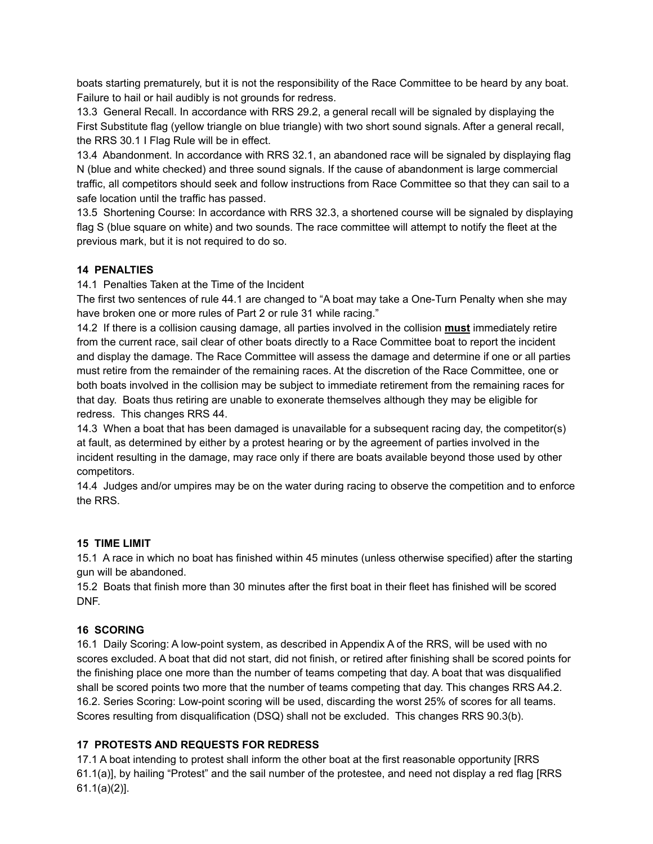boats starting prematurely, but it is not the responsibility of the Race Committee to be heard by any boat. Failure to hail or hail audibly is not grounds for redress.

13.3 General Recall. In accordance with RRS 29.2, a general recall will be signaled by displaying the First Substitute flag (yellow triangle on blue triangle) with two short sound signals. After a general recall, the RRS 30.1 I Flag Rule will be in effect.

13.4 Abandonment. In accordance with RRS 32.1, an abandoned race will be signaled by displaying flag N (blue and white checked) and three sound signals. If the cause of abandonment is large commercial traffic, all competitors should seek and follow instructions from Race Committee so that they can sail to a safe location until the traffic has passed.

13.5 Shortening Course: In accordance with RRS 32.3, a shortened course will be signaled by displaying flag S (blue square on white) and two sounds. The race committee will attempt to notify the fleet at the previous mark, but it is not required to do so.

## **14 PENALTIES**

14.1 Penalties Taken at the Time of the Incident

The first two sentences of rule 44.1 are changed to "A boat may take a One-Turn Penalty when she may have broken one or more rules of Part 2 or rule 31 while racing."

14.2 If there is a collision causing damage, all parties involved in the collision **must** immediately retire from the current race, sail clear of other boats directly to a Race Committee boat to report the incident and display the damage. The Race Committee will assess the damage and determine if one or all parties must retire from the remainder of the remaining races. At the discretion of the Race Committee, one or both boats involved in the collision may be subject to immediate retirement from the remaining races for that day. Boats thus retiring are unable to exonerate themselves although they may be eligible for redress. This changes RRS 44.

14.3 When a boat that has been damaged is unavailable for a subsequent racing day, the competitor(s) at fault, as determined by either by a protest hearing or by the agreement of parties involved in the incident resulting in the damage, may race only if there are boats available beyond those used by other competitors.

14.4 Judges and/or umpires may be on the water during racing to observe the competition and to enforce the RRS.

## **15 TIME LIMIT**

15.1 A race in which no boat has finished within 45 minutes (unless otherwise specified) after the starting gun will be abandoned.

15.2 Boats that finish more than 30 minutes after the first boat in their fleet has finished will be scored DNF.

# **16 SCORING**

16.1 Daily Scoring: A low-point system, as described in Appendix A of the RRS, will be used with no scores excluded. A boat that did not start, did not finish, or retired after finishing shall be scored points for the finishing place one more than the number of teams competing that day. A boat that was disqualified shall be scored points two more that the number of teams competing that day. This changes RRS A4.2. 16.2. Series Scoring: Low-point scoring will be used, discarding the worst 25% of scores for all teams. Scores resulting from disqualification (DSQ) shall not be excluded. This changes RRS 90.3(b).

# **17 PROTESTS AND REQUESTS FOR REDRESS**

17.1 A boat intending to protest shall inform the other boat at the first reasonable opportunity [RRS 61.1(a)], by hailing "Protest" and the sail number of the protestee, and need not display a red flag [RRS 61.1(a)(2)].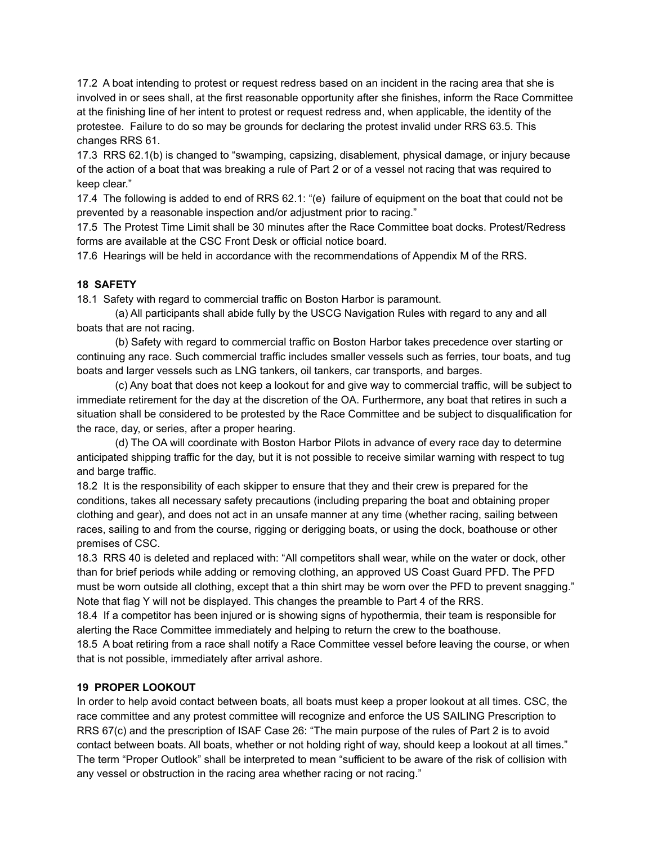17.2 A boat intending to protest or request redress based on an incident in the racing area that she is involved in or sees shall, at the first reasonable opportunity after she finishes, inform the Race Committee at the finishing line of her intent to protest or request redress and, when applicable, the identity of the protestee. Failure to do so may be grounds for declaring the protest invalid under RRS 63.5. This changes RRS 61.

17.3 RRS 62.1(b) is changed to "swamping, capsizing, disablement, physical damage, or injury because of the action of a boat that was breaking a rule of Part 2 or of a vessel not racing that was required to keep clear."

17.4 The following is added to end of RRS 62.1: "(e) failure of equipment on the boat that could not be prevented by a reasonable inspection and/or adjustment prior to racing."

17.5 The Protest Time Limit shall be 30 minutes after the Race Committee boat docks. Protest/Redress forms are available at the CSC Front Desk or official notice board.

17.6 Hearings will be held in accordance with the recommendations of Appendix M of the RRS.

## **18 SAFETY**

18.1 Safety with regard to commercial traffic on Boston Harbor is paramount.

(a) All participants shall abide fully by the USCG Navigation Rules with regard to any and all boats that are not racing.

(b) Safety with regard to commercial traffic on Boston Harbor takes precedence over starting or continuing any race. Such commercial traffic includes smaller vessels such as ferries, tour boats, and tug boats and larger vessels such as LNG tankers, oil tankers, car transports, and barges.

(c) Any boat that does not keep a lookout for and give way to commercial traffic, will be subject to immediate retirement for the day at the discretion of the OA. Furthermore, any boat that retires in such a situation shall be considered to be protested by the Race Committee and be subject to disqualification for the race, day, or series, after a proper hearing.

(d) The OA will coordinate with Boston Harbor Pilots in advance of every race day to determine anticipated shipping traffic for the day, but it is not possible to receive similar warning with respect to tug and barge traffic.

18.2 It is the responsibility of each skipper to ensure that they and their crew is prepared for the conditions, takes all necessary safety precautions (including preparing the boat and obtaining proper clothing and gear), and does not act in an unsafe manner at any time (whether racing, sailing between races, sailing to and from the course, rigging or derigging boats, or using the dock, boathouse or other premises of CSC.

18.3 RRS 40 is deleted and replaced with: "All competitors shall wear, while on the water or dock, other than for brief periods while adding or removing clothing, an approved US Coast Guard PFD. The PFD must be worn outside all clothing, except that a thin shirt may be worn over the PFD to prevent snagging." Note that flag Y will not be displayed. This changes the preamble to Part 4 of the RRS.

18.4 If a competitor has been injured or is showing signs of hypothermia, their team is responsible for alerting the Race Committee immediately and helping to return the crew to the boathouse. 18.5 A boat retiring from a race shall notify a Race Committee vessel before leaving the course, or when that is not possible, immediately after arrival ashore.

#### **19 PROPER LOOKOUT**

In order to help avoid contact between boats, all boats must keep a proper lookout at all times. CSC, the race committee and any protest committee will recognize and enforce the US SAILING Prescription to RRS 67(c) and the prescription of ISAF Case 26: "The main purpose of the rules of Part 2 is to avoid contact between boats. All boats, whether or not holding right of way, should keep a lookout at all times." The term "Proper Outlook" shall be interpreted to mean "sufficient to be aware of the risk of collision with any vessel or obstruction in the racing area whether racing or not racing."